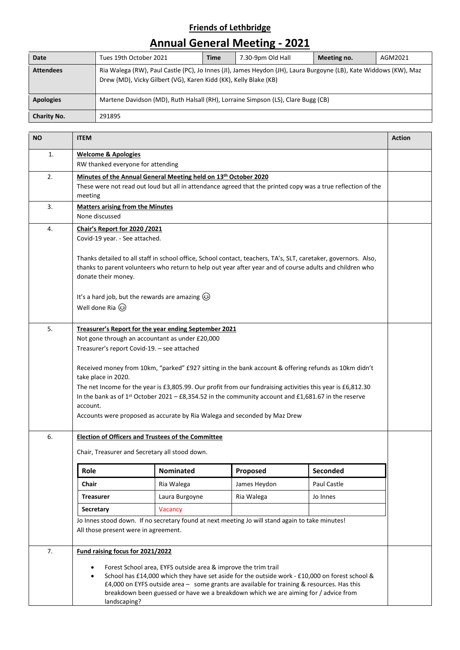## **Friends of Lethbridge**

## **Annual General Meeting - 2021**

| Date               | Tues 19th October 2021                                                                                                                                                               | Time | 7.30-9pm Old Hall | Meeting no. | AGM2021 |  |  |
|--------------------|--------------------------------------------------------------------------------------------------------------------------------------------------------------------------------------|------|-------------------|-------------|---------|--|--|
| <b>Attendees</b>   | Ria Walega (RW), Paul Castle (PC), Jo Innes (JI), James Heydon (JH), Laura Burgoyne (LB), Kate Widdows (KW), Maz<br>Drew (MD), Vicky Gilbert (VG), Karen Kidd (KK), Kelly Blake (KB) |      |                   |             |         |  |  |
| <b>Apologies</b>   | Martene Davidson (MD), Ruth Halsall (RH), Lorraine Simpson (LS), Clare Bugg (CB)                                                                                                     |      |                   |             |         |  |  |
| <b>Charity No.</b> | 291895                                                                                                                                                                               |      |                   |             |         |  |  |

| <b>NO</b> | <b>ITEM</b>                                                                                                                                                                       |                  |              |             |  |  |
|-----------|-----------------------------------------------------------------------------------------------------------------------------------------------------------------------------------|------------------|--------------|-------------|--|--|
| 1.        | <b>Welcome &amp; Apologies</b><br>RW thanked everyone for attending                                                                                                               |                  |              |             |  |  |
| 2.        | Minutes of the Annual General Meeting held on 13th October 2020                                                                                                                   |                  |              |             |  |  |
|           | These were not read out loud but all in attendance agreed that the printed copy was a true reflection of the                                                                      |                  |              |             |  |  |
|           | meeting                                                                                                                                                                           |                  |              |             |  |  |
| 3.        | <b>Matters arising from the Minutes</b>                                                                                                                                           |                  |              |             |  |  |
|           | None discussed                                                                                                                                                                    |                  |              |             |  |  |
| 4.        | Chair's Report for 2020 /2021                                                                                                                                                     |                  |              |             |  |  |
|           | Covid-19 year. - See attached.                                                                                                                                                    |                  |              |             |  |  |
|           | Thanks detailed to all staff in school office, School contact, teachers, TA's, SLT, caretaker, governors. Also,                                                                   |                  |              |             |  |  |
|           | thanks to parent volunteers who return to help out year after year and of course adults and children who                                                                          |                  |              |             |  |  |
|           | donate their money.                                                                                                                                                               |                  |              |             |  |  |
|           | It's a hard job, but the rewards are amazing $\circled{e}$                                                                                                                        |                  |              |             |  |  |
|           | Well done Ria 3                                                                                                                                                                   |                  |              |             |  |  |
| 5.        | Treasurer's Report for the year ending September 2021                                                                                                                             |                  |              |             |  |  |
|           | Not gone through an accountant as under £20,000                                                                                                                                   |                  |              |             |  |  |
|           | Treasurer's report Covid-19. - see attached                                                                                                                                       |                  |              |             |  |  |
|           |                                                                                                                                                                                   |                  |              |             |  |  |
|           | Received money from 10km, "parked" £927 sitting in the bank account & offering refunds as 10km didn't<br>take place in 2020.                                                      |                  |              |             |  |  |
|           | The net Income for the year is £3,805.99. Our profit from our fundraising activities this year is £6,812.30                                                                       |                  |              |             |  |  |
|           | In the bank as of $1^{st}$ October 2021 - £8,354.52 in the community account and £1,681.67 in the reserve                                                                         |                  |              |             |  |  |
|           | account.                                                                                                                                                                          |                  |              |             |  |  |
|           | Accounts were proposed as accurate by Ria Walega and seconded by Maz Drew                                                                                                         |                  |              |             |  |  |
| 6.        | <b>Election of Officers and Trustees of the Committee</b>                                                                                                                         |                  |              |             |  |  |
|           | Chair, Treasurer and Secretary all stood down.                                                                                                                                    |                  |              |             |  |  |
|           | Role                                                                                                                                                                              | <b>Nominated</b> | Proposed     | Seconded    |  |  |
|           | Chair                                                                                                                                                                             | Ria Walega       | James Heydon | Paul Castle |  |  |
|           | <b>Treasurer</b>                                                                                                                                                                  | Laura Burgoyne   | Ria Walega   | Jo Innes    |  |  |
|           | Secretary                                                                                                                                                                         | Vacancy          |              |             |  |  |
|           | Jo Innes stood down. If no secretary found at next meeting Jo will stand again to take minutes!                                                                                   |                  |              |             |  |  |
|           | All those present were in agreement.                                                                                                                                              |                  |              |             |  |  |
| 7.        | Fund raising focus for 2021/2022                                                                                                                                                  |                  |              |             |  |  |
|           | Forest School area, EYFS outside area & improve the trim trail                                                                                                                    |                  |              |             |  |  |
|           | School has £14,000 which they have set aside for the outside work - £10,000 on forest school &                                                                                    |                  |              |             |  |  |
|           | £4,000 on EYFS outside area - some grants are available for training & resources. Has this<br>breakdown been guessed or have we a breakdown which we are aiming for / advice from |                  |              |             |  |  |
|           | landscaping?                                                                                                                                                                      |                  |              |             |  |  |